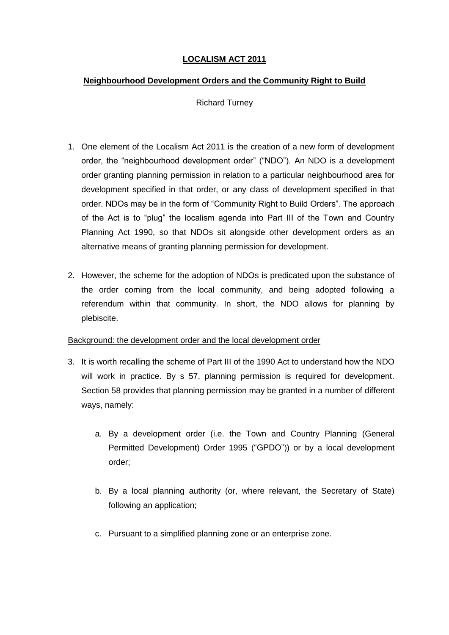# **LOCALISM ACT 2011**

### **Neighbourhood Development Orders and the Community Right to Build**

Richard Turney

- 1. One element of the Localism Act 2011 is the creation of a new form of development order, the "neighbourhood development order" ("NDO"). An NDO is a development order granting planning permission in relation to a particular neighbourhood area for development specified in that order, or any class of development specified in that order. NDOs may be in the form of "Community Right to Build Orders". The approach of the Act is to "plug" the localism agenda into Part III of the Town and Country Planning Act 1990, so that NDOs sit alongside other development orders as an alternative means of granting planning permission for development.
- 2. However, the scheme for the adoption of NDOs is predicated upon the substance of the order coming from the local community, and being adopted following a referendum within that community. In short, the NDO allows for planning by plebiscite.

## Background: the development order and the local development order

- 3. It is worth recalling the scheme of Part III of the 1990 Act to understand how the NDO will work in practice. By s 57, planning permission is required for development. Section 58 provides that planning permission may be granted in a number of different ways, namely:
	- a. By a development order (i.e. the Town and Country Planning (General Permitted Development) Order 1995 ("GPDO")) or by a local development order;
	- b. By a local planning authority (or, where relevant, the Secretary of State) following an application;
	- c. Pursuant to a simplified planning zone or an enterprise zone.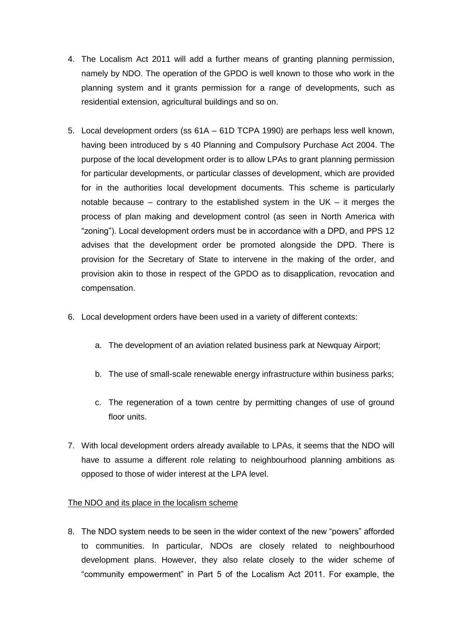- 4. The Localism Act 2011 will add a further means of granting planning permission, namely by NDO. The operation of the GPDO is well known to those who work in the planning system and it grants permission for a range of developments, such as residential extension, agricultural buildings and so on.
- 5. Local development orders (ss 61A 61D TCPA 1990) are perhaps less well known, having been introduced by s 40 Planning and Compulsory Purchase Act 2004. The purpose of the local development order is to allow LPAs to grant planning permission for particular developments, or particular classes of development, which are provided for in the authorities local development documents. This scheme is particularly notable because – contrary to the established system in the UK – it merges the process of plan making and development control (as seen in North America with "zoning"). Local development orders must be in accordance with a DPD, and PPS 12 advises that the development order be promoted alongside the DPD. There is provision for the Secretary of State to intervene in the making of the order, and provision akin to those in respect of the GPDO as to disapplication, revocation and compensation.
- 6. Local development orders have been used in a variety of different contexts:
	- a. The development of an aviation related business park at Newquay Airport;
	- b. The use of small-scale renewable energy infrastructure within business parks;
	- c. The regeneration of a town centre by permitting changes of use of ground floor units.
- 7. With local development orders already available to LPAs, it seems that the NDO will have to assume a different role relating to neighbourhood planning ambitions as opposed to those of wider interest at the LPA level.

#### The NDO and its place in the localism scheme

8. The NDO system needs to be seen in the wider context of the new "powers" afforded to communities. In particular, NDOs are closely related to neighbourhood development plans. However, they also relate closely to the wider scheme of "community empowerment" in Part 5 of the Localism Act 2011. For example, the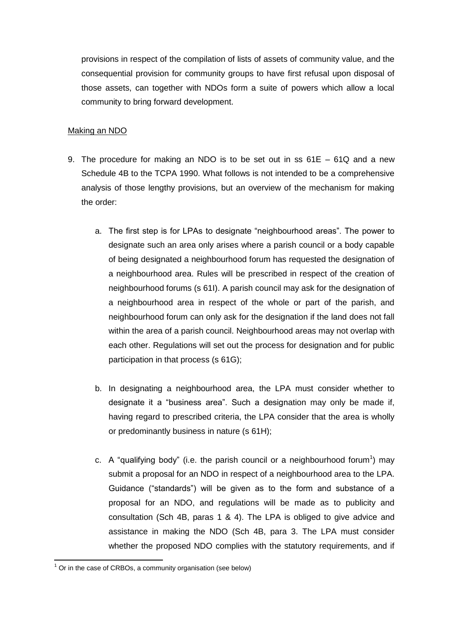provisions in respect of the compilation of lists of assets of community value, and the consequential provision for community groups to have first refusal upon disposal of those assets, can together with NDOs form a suite of powers which allow a local community to bring forward development.

#### Making an NDO

- 9. The procedure for making an NDO is to be set out in ss 61E 61Q and a new Schedule 4B to the TCPA 1990. What follows is not intended to be a comprehensive analysis of those lengthy provisions, but an overview of the mechanism for making the order:
	- a. The first step is for LPAs to designate "neighbourhood areas". The power to designate such an area only arises where a parish council or a body capable of being designated a neighbourhood forum has requested the designation of a neighbourhood area. Rules will be prescribed in respect of the creation of neighbourhood forums (s 61I). A parish council may ask for the designation of a neighbourhood area in respect of the whole or part of the parish, and neighbourhood forum can only ask for the designation if the land does not fall within the area of a parish council. Neighbourhood areas may not overlap with each other. Regulations will set out the process for designation and for public participation in that process (s 61G);
	- b. In designating a neighbourhood area, the LPA must consider whether to designate it a "business area". Such a designation may only be made if, having regard to prescribed criteria, the LPA consider that the area is wholly or predominantly business in nature (s 61H);
	- c. A "qualifying body" (i.e. the parish council or a neighbourhood forum<sup>1</sup>) may submit a proposal for an NDO in respect of a neighbourhood area to the LPA. Guidance ("standards") will be given as to the form and substance of a proposal for an NDO, and regulations will be made as to publicity and consultation (Sch 4B, paras 1 & 4). The LPA is obliged to give advice and assistance in making the NDO (Sch 4B, para 3. The LPA must consider whether the proposed NDO complies with the statutory requirements, and if

**.** 

 $1$  Or in the case of CRBOs, a community organisation (see below)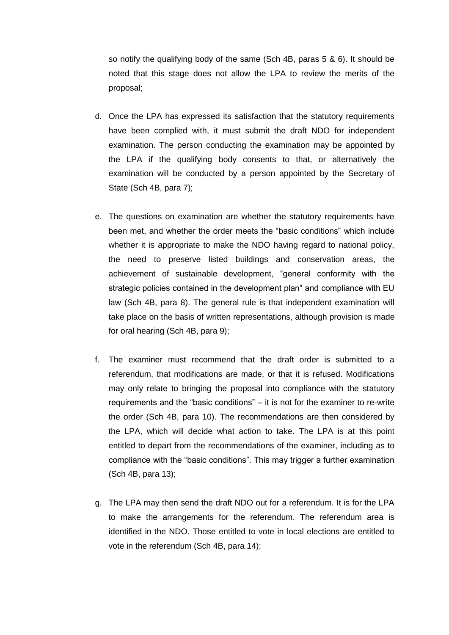so notify the qualifying body of the same (Sch 4B, paras 5 & 6). It should be noted that this stage does not allow the LPA to review the merits of the proposal;

- d. Once the LPA has expressed its satisfaction that the statutory requirements have been complied with, it must submit the draft NDO for independent examination. The person conducting the examination may be appointed by the LPA if the qualifying body consents to that, or alternatively the examination will be conducted by a person appointed by the Secretary of State (Sch 4B, para 7);
- e. The questions on examination are whether the statutory requirements have been met, and whether the order meets the "basic conditions" which include whether it is appropriate to make the NDO having regard to national policy, the need to preserve listed buildings and conservation areas, the achievement of sustainable development, "general conformity with the strategic policies contained in the development plan" and compliance with EU law (Sch 4B, para 8). The general rule is that independent examination will take place on the basis of written representations, although provision is made for oral hearing (Sch 4B, para 9);
- f. The examiner must recommend that the draft order is submitted to a referendum, that modifications are made, or that it is refused. Modifications may only relate to bringing the proposal into compliance with the statutory requirements and the "basic conditions" – it is not for the examiner to re-write the order (Sch 4B, para 10). The recommendations are then considered by the LPA, which will decide what action to take. The LPA is at this point entitled to depart from the recommendations of the examiner, including as to compliance with the "basic conditions". This may trigger a further examination (Sch 4B, para 13);
- g. The LPA may then send the draft NDO out for a referendum. It is for the LPA to make the arrangements for the referendum. The referendum area is identified in the NDO. Those entitled to vote in local elections are entitled to vote in the referendum (Sch 4B, para 14);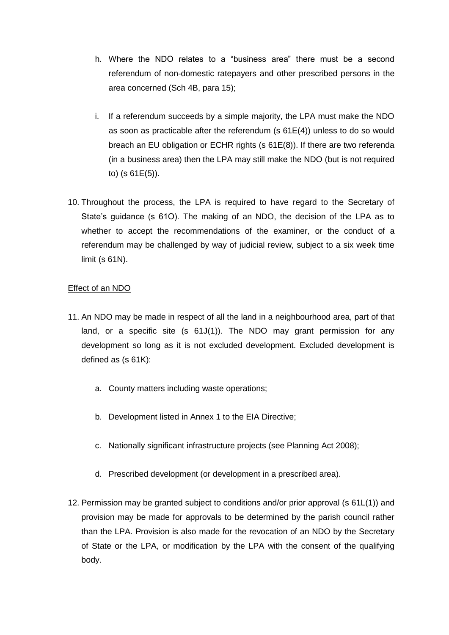- h. Where the NDO relates to a "business area" there must be a second referendum of non-domestic ratepayers and other prescribed persons in the area concerned (Sch 4B, para 15);
- i. If a referendum succeeds by a simple majority, the LPA must make the NDO as soon as practicable after the referendum (s 61E(4)) unless to do so would breach an EU obligation or ECHR rights (s 61E(8)). If there are two referenda (in a business area) then the LPA may still make the NDO (but is not required to) (s 61E(5)).
- 10. Throughout the process, the LPA is required to have regard to the Secretary of State's guidance (s 61O). The making of an NDO, the decision of the LPA as to whether to accept the recommendations of the examiner, or the conduct of a referendum may be challenged by way of judicial review, subject to a six week time limit (s 61N).

### Effect of an NDO

- 11. An NDO may be made in respect of all the land in a neighbourhood area, part of that land, or a specific site (s 61J(1)). The NDO may grant permission for any development so long as it is not excluded development. Excluded development is defined as (s 61K):
	- a. County matters including waste operations;
	- b. Development listed in Annex 1 to the EIA Directive;
	- c. Nationally significant infrastructure projects (see Planning Act 2008);
	- d. Prescribed development (or development in a prescribed area).
- 12. Permission may be granted subject to conditions and/or prior approval (s 61L(1)) and provision may be made for approvals to be determined by the parish council rather than the LPA. Provision is also made for the revocation of an NDO by the Secretary of State or the LPA, or modification by the LPA with the consent of the qualifying body.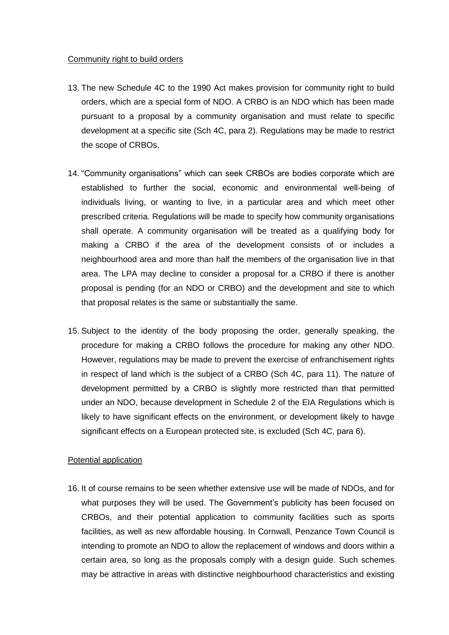#### Community right to build orders

- 13. The new Schedule 4C to the 1990 Act makes provision for community right to build orders, which are a special form of NDO. A CRBO is an NDO which has been made pursuant to a proposal by a community organisation and must relate to specific development at a specific site (Sch 4C, para 2). Regulations may be made to restrict the scope of CRBOs.
- 14. "Community organisations" which can seek CRBOs are bodies corporate which are established to further the social, economic and environmental well-being of individuals living, or wanting to live, in a particular area and which meet other prescribed criteria. Regulations will be made to specify how community organisations shall operate. A community organisation will be treated as a qualifying body for making a CRBO if the area of the development consists of or includes a neighbourhood area and more than half the members of the organisation live in that area. The LPA may decline to consider a proposal for a CRBO if there is another proposal is pending (for an NDO or CRBO) and the development and site to which that proposal relates is the same or substantially the same.
- 15. Subject to the identity of the body proposing the order, generally speaking, the procedure for making a CRBO follows the procedure for making any other NDO. However, regulations may be made to prevent the exercise of enfranchisement rights in respect of land which is the subject of a CRBO (Sch 4C, para 11). The nature of development permitted by a CRBO is slightly more restricted than that permitted under an NDO, because development in Schedule 2 of the EIA Regulations which is likely to have significant effects on the environment, or development likely to havge significant effects on a European protected site, is excluded (Sch 4C, para 6).

#### Potential application

16. It of course remains to be seen whether extensive use will be made of NDOs, and for what purposes they will be used. The Government's publicity has been focused on CRBOs, and their potential application to community facilities such as sports facilities, as well as new affordable housing. In Cornwall, Penzance Town Council is intending to promote an NDO to allow the replacement of windows and doors within a certain area, so long as the proposals comply with a design guide. Such schemes may be attractive in areas with distinctive neighbourhood characteristics and existing